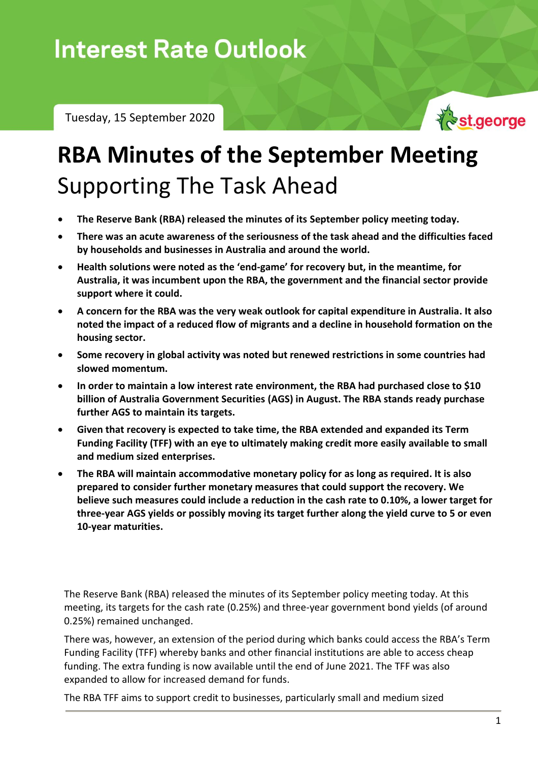Tuesday, 15 September 2020



## **RBA Minutes of the September Meeting** Supporting The Task Ahead

- **The Reserve Bank (RBA) released the minutes of its September policy meeting today.**
- **There was an acute awareness of the seriousness of the task ahead and the difficulties faced by households and businesses in Australia and around the world.**
- **Health solutions were noted as the 'end-game' for recovery but, in the meantime, for Australia, it was incumbent upon the RBA, the government and the financial sector provide support where it could.**
- **A concern for the RBA was the very weak outlook for capital expenditure in Australia. It also noted the impact of a reduced flow of migrants and a decline in household formation on the housing sector.**
- **Some recovery in global activity was noted but renewed restrictions in some countries had slowed momentum.**
- **In order to maintain a low interest rate environment, the RBA had purchased close to \$10 billion of Australia Government Securities (AGS) in August. The RBA stands ready purchase further AGS to maintain its targets.**
- **Given that recovery is expected to take time, the RBA extended and expanded its Term Funding Facility (TFF) with an eye to ultimately making credit more easily available to small and medium sized enterprises.**
- **The RBA will maintain accommodative monetary policy for as long as required. It is also prepared to consider further monetary measures that could support the recovery. We believe such measures could include a reduction in the cash rate to 0.10%, a lower target for three-year AGS yields or possibly moving its target further along the yield curve to 5 or even 10-year maturities.**

The Reserve Bank (RBA) released the minutes of its September policy meeting today. At this meeting, its targets for the cash rate (0.25%) and three-year government bond yields (of around 0.25%) remained unchanged.

There was, however, an extension of the period during which banks could access the RBA's Term Funding Facility (TFF) whereby banks and other financial institutions are able to access cheap funding. The extra funding is now available until the end of June 2021. The TFF was also expanded to allow for increased demand for funds.

The RBA TFF aims to support credit to businesses, particularly small and medium sized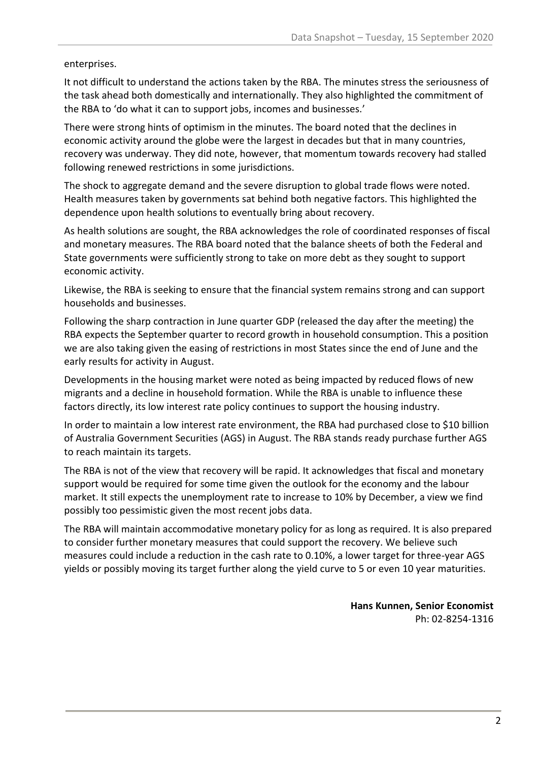enterprises.

It not difficult to understand the actions taken by the RBA. The minutes stress the seriousness of the task ahead both domestically and internationally. They also highlighted the commitment of the RBA to 'do what it can to support jobs, incomes and businesses.'

There were strong hints of optimism in the minutes. The board noted that the declines in economic activity around the globe were the largest in decades but that in many countries, recovery was underway. They did note, however, that momentum towards recovery had stalled following renewed restrictions in some jurisdictions.

The shock to aggregate demand and the severe disruption to global trade flows were noted. Health measures taken by governments sat behind both negative factors. This highlighted the dependence upon health solutions to eventually bring about recovery.

As health solutions are sought, the RBA acknowledges the role of coordinated responses of fiscal and monetary measures. The RBA board noted that the balance sheets of both the Federal and State governments were sufficiently strong to take on more debt as they sought to support economic activity.

Likewise, the RBA is seeking to ensure that the financial system remains strong and can support households and businesses.

Following the sharp contraction in June quarter GDP (released the day after the meeting) the RBA expects the September quarter to record growth in household consumption. This a position we are also taking given the easing of restrictions in most States since the end of June and the early results for activity in August.

Developments in the housing market were noted as being impacted by reduced flows of new migrants and a decline in household formation. While the RBA is unable to influence these factors directly, its low interest rate policy continues to support the housing industry.

In order to maintain a low interest rate environment, the RBA had purchased close to \$10 billion of Australia Government Securities (AGS) in August. The RBA stands ready purchase further AGS to reach maintain its targets.

The RBA is not of the view that recovery will be rapid. It acknowledges that fiscal and monetary support would be required for some time given the outlook for the economy and the labour market. It still expects the unemployment rate to increase to 10% by December, a view we find possibly too pessimistic given the most recent jobs data.

The RBA will maintain accommodative monetary policy for as long as required. It is also prepared to consider further monetary measures that could support the recovery. We believe such measures could include a reduction in the cash rate to 0.10%, a lower target for three-year AGS yields or possibly moving its target further along the yield curve to 5 or even 10 year maturities.

> **Hans Kunnen, Senior Economist** Ph: 02-8254-1316